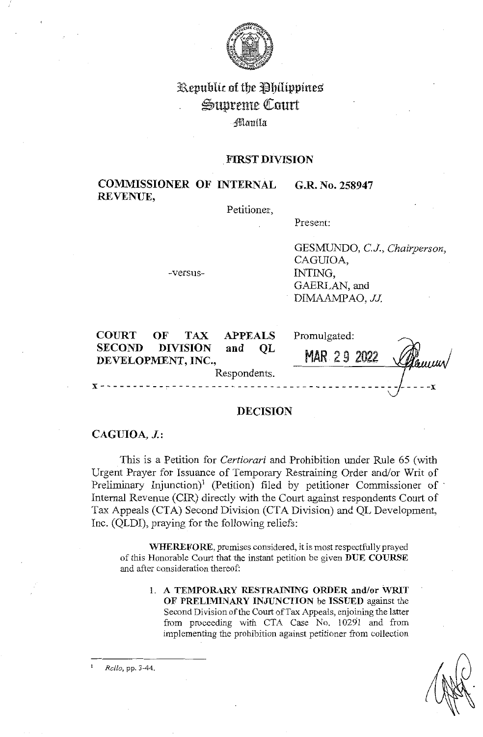

# Republic of the Philippines Supreme Court ;Jflllim iln

# . **FIRST DIVISION**

#### **COMMISSIONER OF INTERNAL REVENUE, G.R. No. 258947**

Petitioner,

Present:

-versus-

GESMUNDO, CJ., *Chairperson,*  CAGUIOA, INTING, GAERLAN, and DIMAAMPAO, JJ.

| <b>COURT</b>                        | OF | <b>TAX</b>      | <b>APPEALS</b> |    | Promulgated:       |          |
|-------------------------------------|----|-----------------|----------------|----|--------------------|----------|
| <b>SECOND</b><br>DEVELOPMENT, INC., |    | <b>DIVISION</b> | and            | OL | <b>MAR 29 2022</b> | V Danmer |
| Respondents.                        |    |                 |                |    |                    |          |
|                                     |    |                 |                |    |                    |          |

# **DECISION**

# **CAGUIOA, J.:**

This is a Petition for *Certiorari* and Prohibition under Rule 65 (with Urgent Prayer for Issuance of Temporary Restraining Order and/or Writ of Preliminary Injunction)<sup>1</sup> (Petition) filed by petitioner Commissioner of Internal Revenue (CIR) directly with the Court against respondents Court of Tax Appeals (CTA) Second Division (CTA Division) and QL Development, Inc. (QLDI), praying for the following reliefs:

**WHEREFORE,** premises considered, it is most respectfully prayed of this Honorable Court that the instant petition be given **DUE COURSE**  and after consideration thereof:

> I. **A TEMPORARY RESTRAINING ORDER and/or WRIT OF PREl.IMINARY INJUNCTION** be **ISSUED** against the Second Division of the Court of Tax Appeals, enjoining the latter from proceeding with CTA Case No. 10291 and from implementing the prohibition against petitioner from collection

<sup>1</sup>*Rollo,* pp. 3-44.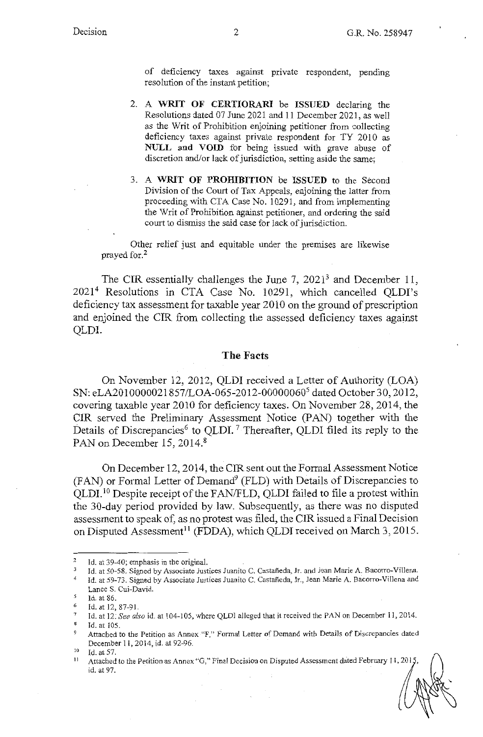of deficiency taxes against private respondent, pending resolution of the instant petition;

- 2. A **WRIT OF CERTIORARI** be **ISSUED** declaring the Resolutions dated 07 June 2021 and 11 December 2021, as well as the Writ of Prohibition enjoining petitioner from collecting deficiency taxes against private respondent for TY 2010 as **NULL and VOID** for being issued with grave abuse of discretion and/or lack of jurisdiction, setting aside the same;
- 3. A **WRIT OF PROHIBITION** be **ISSUED** to the Second Division of the Court of Tax Appeals, enjoining the latter from proceeding with CTA Case No. 10291, and from implementing the Writ of Prohibition against petitioner, and ordering the said court to dismiss the said case for lack of jurisdiction.

Other relief just and equitable under the premises are likewise prayed for.<sup>2</sup>

The CIR essentially challenges the June 7,  $2021<sup>3</sup>$  and December 11, 2021<sup>4</sup> Resolutions in CTA Case No. 10291, which cancelled QLDI's deficiency tax assessment for taxable year 2010 on the ground of prescription and enjoined the CIR from collecting the assessed deficiency taxes against QLDI.

# **The Facts**

On November 12, 2012, QLDI received a Letter of Authority (LOA) SN: eLA2010000021857/LOA-065-2012-00000060<sup>5</sup> dated October 30, 2012, covering taxable year 2010 for deficiency taxes. On November 28, 2014, the CIR served the Preliminary Assessment Notice (PAN) together with the Details of Discrepancies<sup>6</sup> to QLDI.<sup>7</sup> Thereafter, QLDI filed its reply to the PAN on December 15, 2014.<sup>8</sup>

On December 12, 2014, the CIR sent out the Formal Assessment Notice  $(FAN)$  or Formal Letter of Demand<sup>9</sup> (FLD) with Details of Discrepancies to QLDI. 10 Despite receipt of the F AN/FLD, QLDI failed to file a protest within the 30-day period provided by law. Subsequently, as there was no disputed assessment to speak of, as no protest was filed, the CIR issued a Final Decision on Disputed Assessment<sup>11</sup> (FDDA), which QLDI received on March 3, 2015.

<sup>2</sup>  Id. at 39-40; emphasis in the original.

Id. at 50-58. Signed by Associate Justices Juanito C. Castañeda, Jr. and Jean Marie A. Bacorro-Villena.

<sup>4</sup>  Id. at 59-73. Signed by Associate Justices Juanito C. Castañeda, Jr., Jean Marie A. Bacorro-Villena and Lanee S. Cui-David.

 $\leq$ Id. at 86.

<sup>6</sup>  Id. at 12, 87-91.

<sup>7</sup>  Id. at 12: *See also* id. at 104-105, where QLDl alleged that it received the PAN on December 11, 2014.

Id. at 105.

Attached to the Petition as Annex "F," Formal Letter of Demand with Details of Discrepancies dated December 11, 2014, id. at 92-96.<br><sup>10</sup> Id. at 57.<br><sup>11</sup> Attached to the Petition as Annex "G," Final Decision on Disputed Assessment dated February 11, 2015

id. at 97.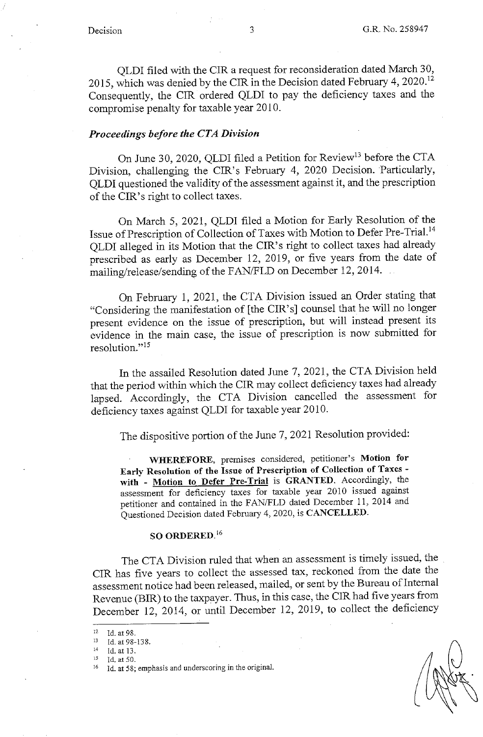QLDI filed with the CIR a request for reconsideration dated March 30, 2015, which was denied by the CIR in the Decision dated February 4, 2020. <sup>12</sup> Consequently, the CIR ordered QLDI to pay the deficiency taxes and the compromise penalty for taxable year 2010.

# *Proceedings before the CTA Division*

On June 30, 2020, QLDI filed a Petition for Review<sup>13</sup> before the CTA Division, challenging the CIR's February 4, 2020 Decision. Particularly, QLDI questioned the validity of the assessment against it, and the prescription of the CIR's right to collect taxes.

On March 5, 2021, QLDI filed a Motion for Early Resolution of the Issue of Prescription of Collection of Taxes with Motion to Defer Pre-Trial. <sup>14</sup> QLDI alleged in its Motion that the CIR's right to collect taxes had already prescribed as early as December 12, 2019, or five years from the date of mailing/release/sending of the FAN/FLD on December 12, 2014.

On February 1, 2021, the CTA Division issued an Order stating that "Considering the manifestation of [the CIR's] counsel that he will no longer present evidence on the issue of prescription, but will instead present its evidence in the main case, the issue of prescription is now submitted for resolution."<sup>15</sup>

In the assailed Resolution dated June 7, 2021, the CTA Division held that the period within which the CIR may collect deficiency taxes had already lapsed. Accordingly, the CTA Division cancelled the assessment for deficiency taxes against QLDI for taxable year 2010.

The dispositive portion of the June 7, 2021 Resolution provided:

**WHEREFORE,** premises considered, petitioner's **Motion for Early Resolution of the Issue of Prescription of Collection of Taxes with** - **Motion to Defer Pre-Trial** is **GRANTED.** Accordingly, the assessment for deficiency taxes for taxable year 2010 issued against petitioner and contained in the FAN/FLD dated December 11, 2014 and Questioned Decision dated February 4, 2020, is **CANCELLED.** 

# **SO ORDERED.** <sup>16</sup>

The CTA Division ruled that when an assessment is timely issued, the CIR has five years to collect the assessed tax, reckoned from the date the assessment notice had been released, mailed, or sent by the Bureau of Internal Revenue (BIR) to the taxpayer. Thus, in this case, the CIR had five years from December 12, 2014, or until December 12, 2019, to collect the deficiency

 $12$  Id. at 98.

<sup>13</sup> Id. at 98-138.<br>
14 Id. at 13.<br>
15 Id. at 50.<br>
16 Id. at 58; emphasis and underscoring in the original.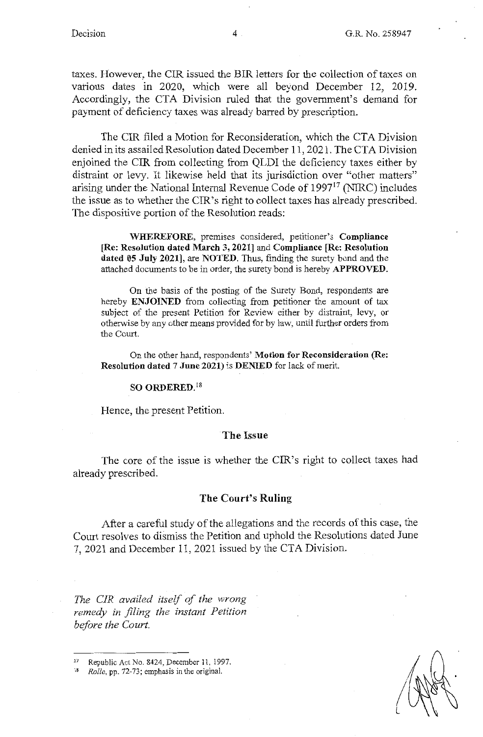taxes. However, the CIR issued the BIR letters for the collection of taxes on various dates in 2020, which were all beyond December 12, 2019. Accordingly, the CTA Division ruled that the government's demand for payment of deficiency taxes was already barred by prescription.

The CIR filed a Motion for Reconsideration, which the CTA Division denied in its assailed Resolution dated December 11, 2021. The CTA Division enjoined the CIR from collecting from QLDI the deficiency taxes either by distraint or levy. It likewise held that its jurisdiction over "other matters" arising under the National Internal Revenue Code of 1997<sup>17</sup> (NIRC) includes the issue as to whether the CIR's right to collect taxes has already prescribed. The dispositive portion of the Resolution reads:

**WHEREFORE,** premises considered, petitioner's **Compliance [Re: Resolution dated March 3, 2021]** and **Compliance [Re: Resolution dated 05 July 2021],** are **NOTED.** Thus, finding the surety bond and the attached documents to be in order, the surety bond is hereby **APPROVED.** 

On the basis of the posting of the Surety Bond, respondents are hereby **ENJOINED** from collecting from petitioner the amount of tax subject of the present Petition for Review either by distraint, levy, or otherwise by any other means provided for by law, until further orders from the Court.

On the other hand, respondents' **Motion for Reconsideration (Re: Resolution dated** 7 **June 2021)** is **DENIED** for lack of merit.

### **SO ORDERED. <sup>18</sup>**

Hence, the present Petition.

#### **The Issue**

The core of the issue is whether the CIR's right to collect taxes had already prescribed.

#### **The Court's Ruling**

After a careful study of the allegations and the records of this case, the Court resolves to dismiss the Petition and uphold the Resolutions dated June 7, 2021 and December 11, 2021 issued by the CTA Division.

*The CIR availed itself of the wrong remedy in filing the instant Petition before the Court.* 

Republic Act No. 8424, December 11, 1997.

<sup>18</sup> *Rollo,* pp. 72-73; emphasis in the original.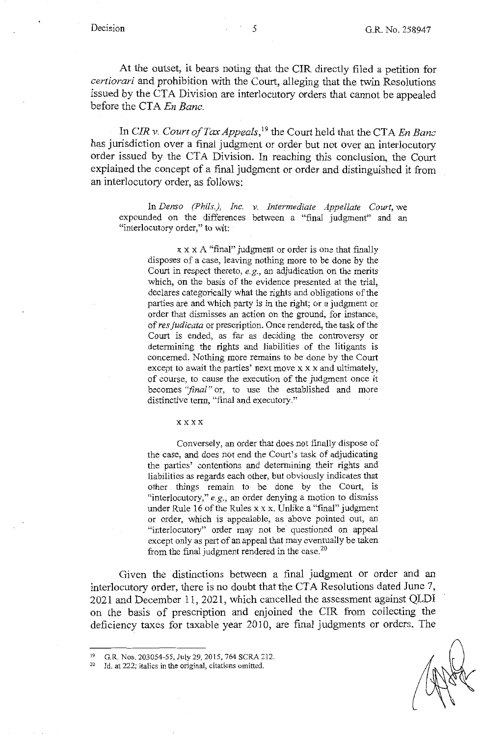At the outset, it bears noting that the CIR directly filed a petition for *certiorari* and prohibition with the Court, alleging that the twin Resolutions issued by the CTA Division are interlocutory orders that cannot be appealed before the CTA *En Banc.* 

In *CIR v. Court of Tax Appeals,* 19 the Court held that the CTA *En Banc*  has jurisdiction over a final judgment or order but not over an interlocutory order issued by the CTA Division. In reaching this conclusion, the Court explained the concept of a final judgment or order and distinguished it from an interlocutory order, as follows:

In *Denso (Phils.), Inc. v. Intermediate Appellate Court,* we expounded on the differences between a "final judgment" and an "interlocutory order," to wit:

x x x A "final" judgment or order is one that finally disposes of a case, leaving nothing more to be done by the Court in respect thereto, *e.g.,* an adjudication on the merits which, on the basis of the evidence presented at the trial, declares categorically what the rights and obligations of the parties are and which party is in the right; or a judgment or order that dismisses an action on the ground, for instance, of *res judicata* or prescription. Once rendered, the task of the Court is ended, as far as deciding the controversy or determining the rights and liabilities of the litigants is concerned. Nothing more remains to be done by the Court except to await the parties' next move x x x and ultimately, of course, to cause the execution of the judgment once it becomes *"final"* or, to use the established and more distinctive term, "final and executory."

#### xxxx

Conversely, an order that does not finally dispose of the case, and does not end the Court's task of adjudicating the parties' contentions and determining their rights and liabilities as regards each other, but obviously indicates that other things remain to be done by the Court, is "interlocutory," e.g., an order denying a motion to dismiss under Rule 16 of the Rules x x x. Unlike a "final" judgment or order, which is appealable, as above pointed out, an "interlocutory" order may not be questioned on appeal except only as part of an appeal that may eventually be taken from the final judgment rendered in the case.<sup>20</sup>

Given the distinctions between a final judgment or order and an interlocutory order, there is no doubt that the CTA Resolutions dated June 7, 2021 and December 11, 2021, which cancelled the assessment against **QLDI**  on the basis of prescription and enjoined the CIR from collecting the deficiency taxes for taxable year 2010, are final judgments or orders. The

<sup>19</sup> G.R. Nos. 203054-55, July 29, 2015, 764 SCRA 212.

<sup>20</sup> **Id. at 222; italics in the original, citations omitted.**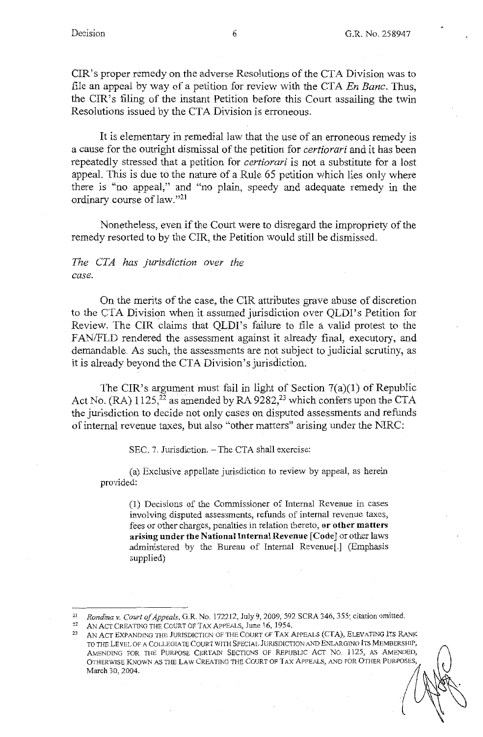CIR's proper remedy on the adverse Resolutions of the CTA Division was to file an appeal by way of a petition for review with the CTA *En Banc.* Thus, the CIR's filing of the instant Petition before this Court assailing the twin Resolutions issued by the CTA Division is erroneous.

It is elementary in remedial law that the use of an erroneous remedy is a cause for the outright dismissal of the petition for *certiorari* and it has been repeatedly stressed that a petition for *certiorari* is not a substitute for a lost appeal. This is due to the nature of a Rule 65 petition which lies only where there is "no appeal," and "no plain, speedy and adequate remedy in the ordinary course of law."<sup>21</sup>

Nonetheless, even if the Court were to disregard the impropriety of the remedy resorted to by the CIR, the Petition would still be dismissed.

# *The CTA has jurisdiction over the case.*

On the merits of the case, the CIR attributes grave abuse of discretion to the CTA Division when it assumed jurisdiction over QLDI's Petition for Review. The CIR claims that QLDI's failure to file a valid protest to the FAN/FLD rendered the assessment against it already final, executory, and demandable. As such, the assessments are not subject to judicial scrutiny, as it is already beyond the CTA Division's jurisdiction.

The CIR's argument must fail in light of Section 7(a)(l) of Republic Act No. (RA)  $1125$ ,  $^{22}$  as amended by RA 9282,<sup>23</sup> which confers upon the CTA the jurisdiction to decide not only cases on disputed assessments and refimds of internal revenue taxes, but also "other matters" arising under the NlRC:

SEC. 7. Jurisdiction. - The CTA shall exercise:

(a) Exclusive appellate jurisdiction to review by appeal, as herein provided:

> (1) Decisions of the Commissioner of Internal Revenue in cases involving disputed assessments, refunds of internal revenue taxes, fees or other charges, penalties in relation thereto, **or other matters arising under the National Internal Revenue [Code]** or other laws administered by the Bureau of Internal Revenue[.] (Emphasis supplied)

<sup>&</sup>lt;sup>21</sup> *Rondina v. Court of Appeals*, G.R. No. 172212, July 9, 2009, 592 SCRA 346, 355; citation omitted.<br><sup>22</sup> AN ACT CREATING THE COURT OF TAX APPEALS, June 16, 1954.

AN ACT EXPANDING THE JURISDICTION OF THE COURT OF TAX APPEALS (CTA), ELEVATING ITS RANK TO THE LEVEL OF A COLLEGIATE COURT WITH SPECIAL JURISDICTION AND ENLARGING ITS MEMBERSHIP, AMENDING FOR THE PURPOSE CERTAIN SECTIONS OF REPUBLIC ACT NO. 1125, AS AMENDED, OTHERWISE KNOWN AS THE LAW CREATING THE COURT OF TAX APPEALS, AND FOR OTHER PURPOSES, March 30, 2004.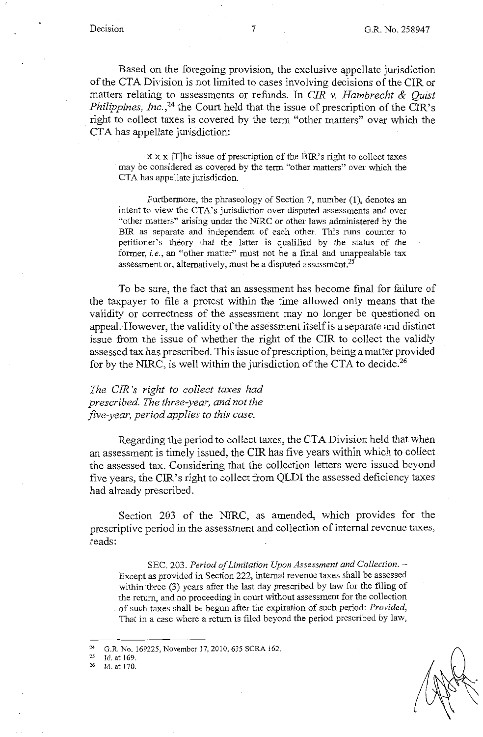Based on the foregoing provision, the exclusive appellate jurisdiction of the CTA Division is not limited to cases involving decisions of the CIR or matters relating to assessments or refunds. In *CIR v. Hambrecht & Quist Philippines, Inc.*<sup>24</sup> the Court held that the issue of prescription of the CIR's right to collect taxes is covered by the term "other matters" over which the CTA has appellate jurisdiction:

xx x [T]he issue of prescription of the BIR's right to collect taxes may be considered as covered by the term "other matters" over which the CTA has appellate jurisdiction.

Furthermore, the phraseology of Section 7, number (1), denotes an intent to view the CTA's jurisdiction over disputed assessments and over "other matters" arising under the NIRC or other laws administered by the BIR as separate and independent of each other. This runs counter to petitioner's theory that the latter is qualified by the status of the former, *i.e.,* an "other matter" must not be a final and unappealable tax assessment or, alternatively, must be a disputed assessment.<sup>25</sup>

To be sure, the fact that an assessment has become final for failure of the taxpayer to file a protest within the time allowed only means that the validity or correctness of the assessment may no longer be questioned on appeal. However, the validity of the assessment itself is a separate and distinct issue from the issue of whether the right of the CIR to collect the validly assessed tax has prescribed. This issue of prescription, being a matter provided for by the NIRC, is well within the jurisdiction of the CTA to decide.<sup>26</sup>

*The CIR 's right to collect taxes had prescribed. The three-year, and not the five-year, period applies to this case.* 

Regarding the period to collect taxes, the CT A Division held that when an assessment is timely issued, the CIR has five years within which to collect the assessed tax. Considering that the collection letters were issued beyond five years, the CIR's right to collect from QLDI the assessed deficiency taxes had already prescribed.

Section 203 of the NIRC, as amended, which provides for the prescriptive period in the assessment and collection of internal revenue taxes, reads:

SEC. 203. Period of Limitation Upon Assessment and Collection. -Except as provided in Section 222, internal revenue taxes shall be assessed within three (3) years after the last day prescribed by law for the filing of the return, and no proceeding in court without assessment for the collection . of such taxes shall be begun after the expiration of such period: *Provided,*  That in a case where a return is filed beyond the period prescribed by law,

<sup>&</sup>lt;sup>24</sup> G.R. No. 169225, November 17, 2010, 635 SCRA 162.<br><sup>25</sup> Id. at 169

 $^{25}$  Id. at 169.<br> $^{26}$  Id. at 170.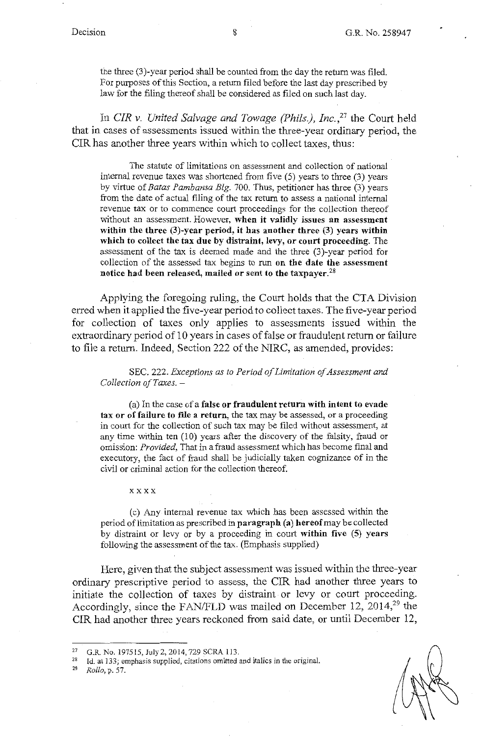the three (3)-year period shall be counted from the day the return was filed. For purposes of this Section, a return filed before the last day prescribed by law for the filing thereof shall be considered as filed on such last day.

In *CIR v. United Salvage and Towage (Phils.), Inc.,27* the Court held that in cases of assessments issued within the three-year ordinary period, the CIR has another three years within which to collect taxes, thus:

The statute of limitations on assessment and collection of national internal revenue taxes was shortened from five (5) years to three (3) years by virtue of *Batas Pambansa Blg.* 700. Thus, petitioner has three (3) years from the date of actual filing of the tax return to assess a national internal revenue tax or to commence court proceedings for the collection thereof without an assessment. However, **when it validly issues an assessment within the three (3)-year period, it has another three (3) years within which to collect the tax due by distraint, levy, or court proceeding.** The assessment of the tax is deemed made and the three (3)-year period for collection of the assessed tax begins to run **on the date the assessment notice had been released, mailed or sent to the taxpayer.<sup>28</sup>**

Applying the foregoing ruling, the Court holds that the CTA Division erred when it applied the five-year period to collect taxes. The five-year period for collection of taxes only applies to assessments issued within the extraordinary period of 10 years in cases of false or fraudulent return or failure to file a return. Indeed, Section 222 of the NIRC, as amended, provides:

SEC. 222. *Exceptions as to Period of Limitation of Assessment and Collection ofTaxes.* -

(a) In the case of a **false or fraudulent return with intent to evade tax or of failure to file a return,** the tax may be assessed, or a proceeding in court for the collection of such tax may be filed without assessment, at any time within ten (10) years after the discovery of the falsity, fraud or omission: *Provided,* That in a fraud assessment which has become final and executory, the fact of fraud shall be judicially taken cognizance of in the civil or criminal action for the collection thereof.

xxxx

( c) Any internal revenue tax which has been assessed within the period oflimitation as prescribed in **paragraph (a) hereof** may be collected by distraint or levy or by a proceeding in court **within five (5) years**  following the assessment of the tax. (Emphasis supplied)

Here, given that the subject assessment was issued within the three-year ordinary prescriptive period to assess, the CIR had another three years to initiate the collection of taxes by distraint or levy or court proceeding. Accordingly, since the FAN/FLD was mailed on December 12,  $2014<sup>29</sup>$  the CIR had another three years reckoned from said date, or until December 12,

<sup>27</sup>G.R. No.197515,July2,2014, 729SCRA 113. 28 Id. at 133; emphasis supplied, citations omitted and italics in the original. 29 *Rollo,* p. 57.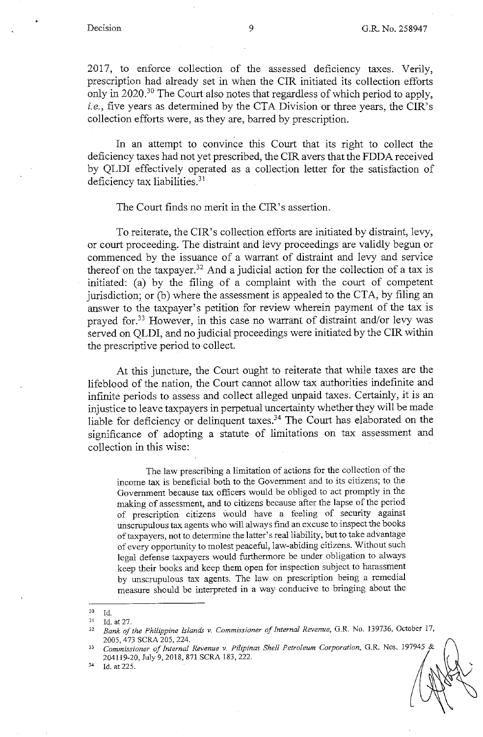2017, to enforce collection of the assessed deficiency taxes. Verily, prescription had already set in when the CIR initiated its collection efforts only in 2020.<sup>30</sup> The Court also notes that regardless of which period to apply, i.e., five years as determined by the CTA Division or three years, the CIR's collection efforts were, as they are, barred by prescription.

In an attempt to convince this Court that its right to collect the deficiency taxes had not yet prescribed, the CIR avers that the FDDA received by QLDI effectively operated as a collection letter for the satisfaction of deficiency tax liabilities.<sup>31</sup>

#### The Court finds no merit in the CIR's assertion.

To reiterate, the CIR's collection efforts are initiated by distraint, levy, or court proceeding. The distraint and levy proceedings are validly begun or commenced by the issuance of a warrant of distraint and levy and service thereof on the taxpayer.<sup>32</sup> And a judicial action for the collection of a tax is initiated: (a) by the filing of a complaint with the court of competent jurisdiction; or (b) where the assessment is appealed to the CTA, by filing an answer to the taxpayer's petition for review wherein payment of the tax is prayed for.<sup>33</sup> However, in this case no warrant of distraint and/or levy was served on QLDI, and no judicial proceedings were initiated by the CIR within the prescriptive period to collect.

At this juncture, the Court ought to reiterate that while taxes are the lifeblood of the nation, the Court cannot allow tax authorities indefinite and infinite periods to assess and collect alleged unpaid taxes. Certainly, it is an injustice to leave taxpayers in perpetual uncertainty whether they will be made liable for deficiency or delinquent taxes.<sup>34</sup> The Court has elaborated on the significance of adopting a statute of limitations on tax assessment and collection in this wise:

The law prescribing a limitation of actions for the collection of the income tax is beneficial both to the Govennnent and to its citizens; to the Govennnent because tax officers would be obliged to act promptly in the making of assessment, and to citizens because after the lapse of the period of prescription citizens would have a feeling of security against unscrupulous tax agents who will always find an excuse to inspect the books of taxpayers, not to determine the latter's real liability, but to take advantage of every opportunity to molest peaceful, law-abiding citizens. Without such legal defense taxpayers would furthermore be under obligation to always keep their books and keep them open for inspection subject to harassment by unscrupulous tax agents. The law on prescription being a remedial measure should be interpreted in a way conducive to bringing about the

 $\frac{30}{31}$  Id.

 $^{31}$  Id. at 27.<br> $^{32}$  Rank of <sup>32</sup>*Bank of the Philippine Islands v. Commissioner of Internal Revenue,* G.R. No. 139736, October 17,

<sup>2005, 473</sup> SCRA 205,224. 33 *Commissioner of Internal Revenue v. Pilipinas Shell Petroleum Corporation,* G.R. Nos. 197945 & 204119-20, July 9, 2018, 871 SCRA 183, 222.<br><sup>34</sup> Id. at 225.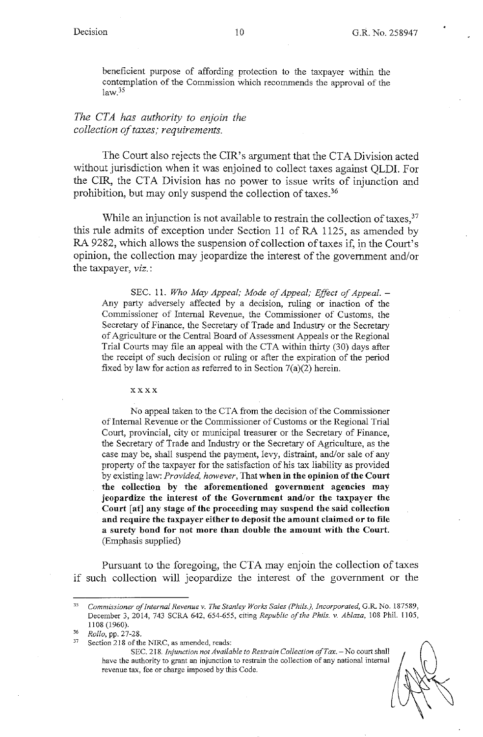beneficient purpose of affording protection to the taxpayer within the contemplation of the Commission which recommends the approval of the  $law<sup>35</sup>$ 

# *The CTA has authority to enjoin the collection of taxes; requirements.*

The Court also rejects the CIR's argument that the CTA Division acted without jurisdiction when it was enjoined to collect taxes against QLDI. For the CIR, the CTA Division has no power to issue writs of injunction and prohibition, but may only suspend the collection of taxes.<sup>36</sup>

While an injunction is not available to restrain the collection of taxes,  $37$ this rule admits of exception under Section 11 of RA 1125, as amended by RA 9282, which allows the suspension of collection of taxes if, in the Court's opinion, the collection may jeopardize the interest of the government and/or the taxpayer, *viz.:* 

SEC. 11. Who May Appeal; Mode of Appeal; Effect of Appeal. -Any party adversely affected by a decision, ruling or inaction of the Commissioner of Internal Revenue, the Commissioner of Customs, the Secretary of Finance, the Secretary of Trade and Industry or the Secretary of Agriculture or the Central Board of Assessment Appeals or the Regional Trial Courts may file an appeal with the CTA within thirty (30) days after the receipt of such decision or ruling or after the expiration of the period fixed by law for action as referred to in Section  $7(a)(2)$  herein.

xxxx

No appeal taken to the CTA from the decision of the Commissioner of Internal Revenue or the Commissioner of Customs or the Regional Trial Court, provincial, city or municipal treasurer or the Secretary of Finance, the Secretary of Trade and Industry or the Secretary of Agriculture, as the case may be, shall suspend the payment, levy, distraint, and/or sale of any property of the taxpayer for the satisfaction of his tax liability as provided by existing law: *Provided, however,* That **when in the opinion of the Court the collection by the aforementioned government agencies may jeopardize the interest of the Government and/or the taxpayer the Court** [ **at] any stage of the proceeding may suspend the said collection and require the taxpayer either to deposit the amount claimed or to file a surety bond for not more than double the amount with the Court.**  (Emphasis supplied)

Pursuant to the foregoing, the CTA may enjoin the collection of taxes if such collection will jeopardize the interest of the government or the

<sup>35</sup>*Commissioner of Internal Revenue v. The Stanley Works Sales (Phils.), Incorporated,* G.R. No. 187589, December 3, 2014, 743 SCRA 642, 654-655, citing *Republic of the Phils. v. Ablaza,* 108 Phil. I 105, 1108 (1960).

<sup>&</sup>lt;sup>36</sup> Rollo, pp. 27-28.<br><sup>37</sup> Section 218 of the NIRC, as amended, reads:

SEC. 218. *Injunction not Available to Restrain Collection of Tax.* - No court shall have the authority to grant an injunction to restrain the collection of any national internal revenue tax, fee or charge imposed by this Code.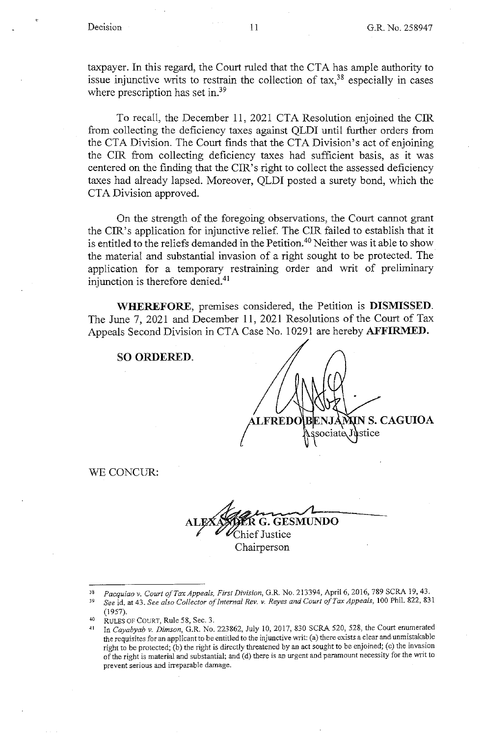taxpayer. In this regard, the Court ruled that the CTA has ample authority to issue injunctive writs to restrain the collection of  $\text{tax},^{38}$  especially in cases where prescription has set in.<sup>39</sup>

To recall, the December 11, 2021 CTA Resolution enjoined the CIR from collecting the deficiency taxes against QLDI until further orders from the CTA Division. The Court finds that the CTA Division's act of enjoining the CIR from collecting deficiency taxes had sufficient basis, as it was centered on the finding that the CIR's right to collect the assessed deficiency taxes had already lapsed. Moreover, QLDI posted a surety bond, which the CTA Division approved.

On the strength of the foregoing observations, the Court cannot grant the CIR's application for injunctive relief. The CIR failed to establish that it is entitled to the reliefs demanded in the Petition.<sup>40</sup> Neither was it able to show the material and substantial invasion of a right sought to be protected. The application for a temporary restraining order and writ of preliminary injunction is therefore denied.<sup>41</sup>

**WHEREFORE,** premises considered, the Petition is **DISMISSED.**  The June 7, 2021 and December 11, 2021 Resolutions of the Court of Tax Appeals Second Division in CTA Case No. 10291 are hereby **AFFIRMED.** 

## **SO ORDERED.**

NIN S. CAGUIOA **FREDC** ociate stice

WE CONCUR:

**AL** ~ **G. GESMUNDO**  ef Justice Chairperson

<sup>38</sup> *Pacquiao v. Court of Tax Appeals, First Division,* G.R. No. 213394, April 6, 2016, 789 SCRA 19, 43, <sup>39</sup> See id. at 43. See also Collector of Internal Rev. v. Reyes and Court of Tax Appeals, 100 Phil. 822, 831

<sup>(1957). 40</sup> RULES OF COURT, Rule 58, Sec. 3. 41 In *Cayabyab v. Dimson,* G.R. No. 223862, July 10, 2017, 830 SCRA 520,528, the Court enumerated the requisites for an applicant to be entitled to the injunctive writ: (a) there exists a clear and unmistakable right to be protected; (b) the right is directly threatened by an act sought to be enjoined; (c) the invasion **of the right is material and substantial; and ( d) there is an urgent and paramount necessity for the writ to prevent serious and irreparable damage.**